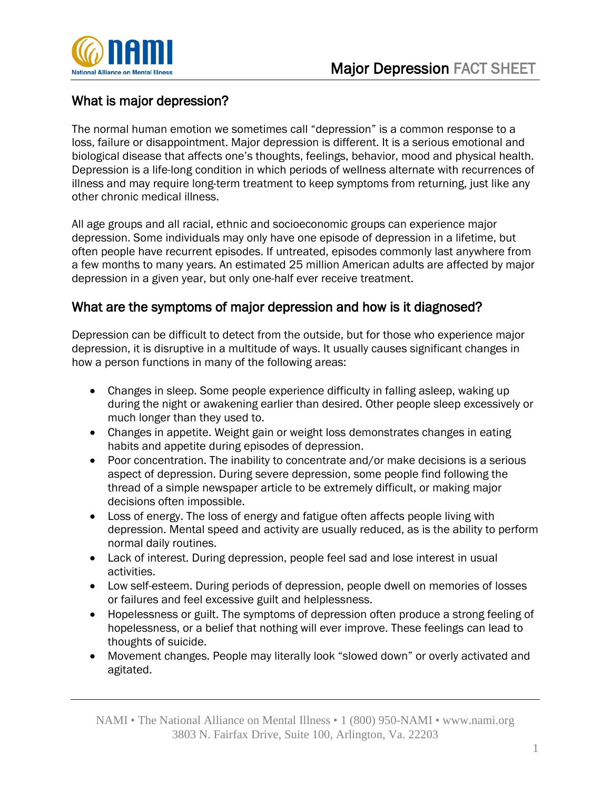

## What is major depression?

The normal human emotion we sometimes call "depression" is a common response to a loss, failure or disappointment. Major depression is different. It is a serious emotional and biological disease that affects one's thoughts, feelings, behavior, mood and physical health. Depression is a life-long condition in which periods of wellness alternate with recurrences of illness and may require long-term treatment to keep symptoms from returning, just like any other chronic medical illness.

All age groups and all racial, ethnic and socioeconomic groups can experience major depression. Some individuals may only have one episode of depression in a lifetime, but often people have recurrent episodes. If untreated, episodes commonly last anywhere from a few months to many years. An estimated 25 million American adults are affected by major depression in a given year, but only one-half ever receive treatment.

## What are the symptoms of major depression and how is it diagnosed?

Depression can be difficult to detect from the outside, but for those who experience major depression, it is disruptive in a multitude of ways. It usually causes significant changes in how a person functions in many of the following areas:

- Changes in sleep. Some people experience difficulty in falling asleep, waking up during the night or awakening earlier than desired. Other people sleep excessively or much longer than they used to.
- Changes in appetite. Weight gain or weight loss demonstrates changes in eating habits and appetite during episodes of depression.
- Poor concentration. The inability to concentrate and/or make decisions is a serious aspect of depression. During severe depression, some people find following the thread of a simple newspaper article to be extremely difficult, or making major decisions often impossible.
- Loss of energy. The loss of energy and fatigue often affects people living with depression. Mental speed and activity are usually reduced, as is the ability to perform normal daily routines.
- Lack of interest. During depression, people feel sad and lose interest in usual activities.
- Low self-esteem. During periods of depression, people dwell on memories of losses or failures and feel excessive guilt and helplessness.
- Hopelessness or guilt. The symptoms of depression often produce a strong feeling of hopelessness, or a belief that nothing will ever improve. These feelings can lead to thoughts of suicide.
- Movement changes. People may literally look "slowed down" or overly activated and agitated.